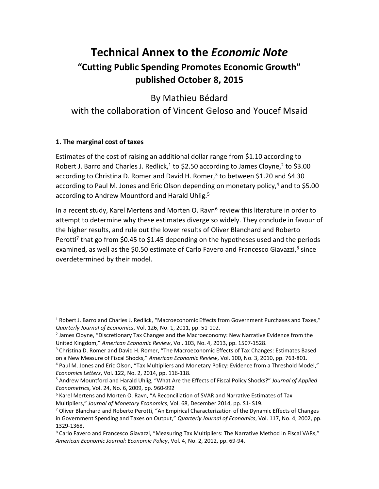# **Technical Annex to the** *Economic Note* **"Cutting Public Spending Promotes Economic Growth" published October 8, 2015**

By Mathieu Bédard with the collaboration of Vincent Geloso and Youcef Msaid

### **1. The marginal cost of taxes**

 $\overline{\phantom{a}}$ 

Estimates of the cost of raising an additional dollar range from \$1.10 according to Robert J. Barro and Charles J. Redlick,<sup>1</sup> to \$2.50 according to James Cloyne,<sup>2</sup> to \$3.00 according to Christina D. Romer and David H. Romer,<sup>3</sup> to between \$1.20 and \$4.30 according to Paul M. Jones and Eric Olson depending on monetary policy,<sup>4</sup> and to \$5.00 according to Andrew Mountford and Harald Uhlig.<sup>5</sup>

In a recent study, Karel Mertens and Morten O. Ravn<sup>6</sup> review this literature in order to attempt to determine why these estimates diverge so widely. They conclude in favour of the higher results, and rule out the lower results of Oliver Blanchard and Roberto Perotti<sup>7</sup> that go from \$0.45 to \$1.45 depending on the hypotheses used and the periods examined, as well as the \$0.50 estimate of Carlo Favero and Francesco Giavazzi,<sup>8</sup> since overdetermined by their model.

<sup>&</sup>lt;sup>1</sup> Robert J. Barro and Charles J. Redlick, "Macroeconomic Effects from Government Purchases and Taxes," *Quarterly Journal of Economics*, Vol. 126, No. 1, 2011, pp. 51-102.

<sup>&</sup>lt;sup>2</sup> James Cloyne, "Discretionary Tax Changes and the Macroeconomy: New Narrative Evidence from the United Kingdom," *American Economic Review*, Vol. 103, No. 4, 2013, pp. 1507-1528.

<sup>&</sup>lt;sup>3</sup> Christina D. Romer and David H. Romer, "The Macroeconomic Effects of Tax Changes: Estimates Based on a New Measure of Fiscal Shocks," *American Economic Review*, Vol. 100, No. 3, 2010, pp. 763-801.

<sup>4</sup> Paul M. Jones and Eric Olson, "Tax Multipliers and Monetary Policy: Evidence from a Threshold Model," *Economics Letters*, Vol. 122, No. 2, 2014, pp. 116-118.

<sup>5</sup> Andrew Mountford and Harald Uhlig, "What Are the Effects of Fiscal Policy Shocks?" *Journal of Applied Econometrics*, Vol. 24, No. 6, 2009, pp. 960-992

 $6$  Karel Mertens and Morten O. Ravn, "A Reconciliation of SVAR and Narrative Estimates of Tax Multipliers," *Journal of Monetary Economics*, Vol. 68, December 2014, pp. S1- S19.

 $7$  Oliver Blanchard and Roberto Perotti, "An Empirical Characterization of the Dynamic Effects of Changes in Government Spending and Taxes on Output," *Quarterly Journal of Economics*, Vol. 117, No. 4, 2002, pp. 1329-1368.

<sup>&</sup>lt;sup>8</sup> Carlo Favero and Francesco Giavazzi, "Measuring Tax Multipliers: The Narrative Method in Fiscal VARs," *American Economic Journal: Economic Policy*, Vol. 4, No. 2, 2012, pp. 69-94.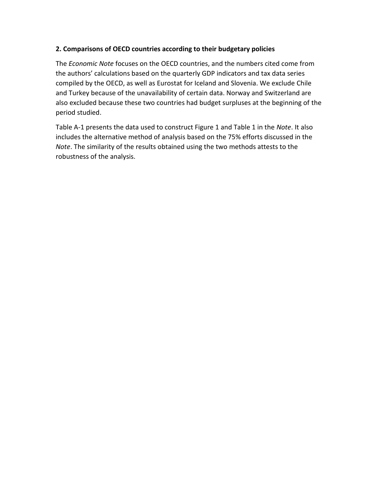### **2. Comparisons of OECD countries according to their budgetary policies**

The *Economic Note* focuses on the OECD countries, and the numbers cited come from the authors' calculations based on the quarterly GDP indicators and tax data series compiled by the OECD, as well as Eurostat for Iceland and Slovenia. We exclude Chile and Turkey because of the unavailability of certain data. Norway and Switzerland are also excluded because these two countries had budget surpluses at the beginning of the period studied.

Table A-1 presents the data used to construct Figure 1 and Table 1 in the *Note*. It also includes the alternative method of analysis based on the 75% efforts discussed in the *Note*. The similarity of the results obtained using the two methods attests to the robustness of the analysis.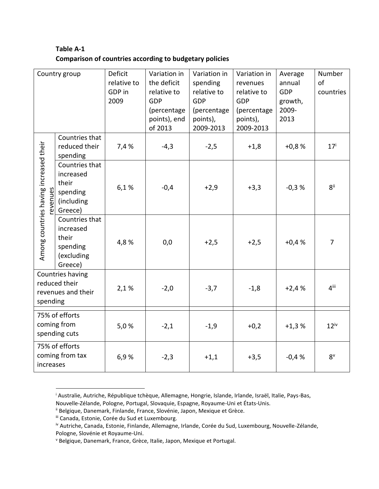## **Table A-1 Comparison of countries according to budgetary policies**

| Country group                                                       |                                                                           | Deficit<br>relative to<br>GDP in<br>2009 | Variation in<br>the deficit<br>relative to<br><b>GDP</b><br>(percentage<br>points), end<br>of 2013 | Variation in<br>spending<br>relative to<br>GDP<br>(percentage<br>points),<br>2009-2013 | Variation in<br>revenues<br>relative to<br>GDP<br>(percentage<br>points),<br>2009-2013 | Average<br>annual<br><b>GDP</b><br>growth,<br>2009-<br>2013 | Number<br>of<br>countries |
|---------------------------------------------------------------------|---------------------------------------------------------------------------|------------------------------------------|----------------------------------------------------------------------------------------------------|----------------------------------------------------------------------------------------|----------------------------------------------------------------------------------------|-------------------------------------------------------------|---------------------------|
| Among countries having increased their<br>evenues                   | Countries that<br>reduced their<br>spending                               | 7,4 %                                    | $-4,3$                                                                                             | $-2,5$                                                                                 | $+1,8$                                                                                 | $+0,8%$                                                     | 17 <sup>i</sup>           |
|                                                                     | Countries that<br>increased<br>their<br>spending<br>(including<br>Greece) | 6,1%                                     | $-0,4$                                                                                             | $+2,9$                                                                                 | $+3,3$                                                                                 | $-0,3%$                                                     | $8$ ii                    |
|                                                                     | Countries that<br>increased<br>their<br>spending<br>(excluding<br>Greece) | 4,8%                                     | 0,0                                                                                                | $+2,5$                                                                                 | $+2,5$                                                                                 | $+0,4%$                                                     | $\overline{7}$            |
| Countries having<br>reduced their<br>revenues and their<br>spending |                                                                           | 2,1%                                     | $-2,0$                                                                                             | $-3,7$                                                                                 | $-1,8$                                                                                 | $+2,4%$                                                     | $4$ <sup>iii</sup>        |
| 75% of efforts<br>coming from<br>spending cuts                      |                                                                           | 5,0%                                     | $-2,1$                                                                                             | $-1,9$                                                                                 | $+0,2$                                                                                 | $+1,3%$                                                     | $12^{\rm iv}$             |
| 75% of efforts<br>coming from tax<br>increases                      |                                                                           | 6,9%                                     | $-2,3$                                                                                             | $+1,1$                                                                                 | $+3,5$                                                                                 | $-0,4%$                                                     | $8^v$                     |

<sup>&</sup>lt;sup>i</sup> Australie, Autriche, République tchèque, Allemagne, Hongrie, Islande, Irlande, Israël, Italie, Pays-Bas, Nouvelle-Zélande, Pologne, Portugal, Slovaquie, Espagne, Royaume-Uni et États-Unis.

 $\overline{\phantom{a}}$ 

<sup>&</sup>lt;sup>ii</sup> Belgique, Danemark, Finlande, France, Slovénie, Japon, Mexique et Grèce.

iii Canada, Estonie, Corée du Sud et Luxembourg.

iv Autriche, Canada, Estonie, Finlande, Allemagne, Irlande, Corée du Sud, Luxembourg, Nouvelle-Zélande, Pologne, Slovénie et Royaume-Uni.

<sup>v</sup> Belgique, Danemark, France, Grèce, Italie, Japon, Mexique et Portugal.